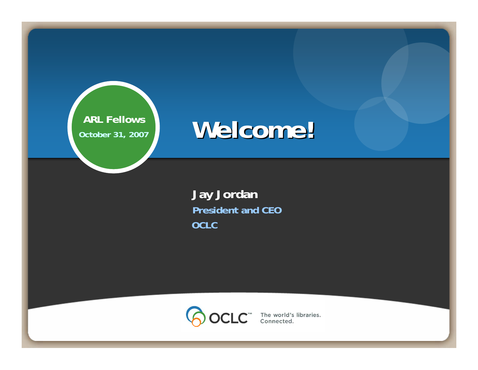

# **Welcome! Welcome!**

**Jay Jordan President and CEO OCLC**



 $CLC<sup>em</sup>$  The world's libraries.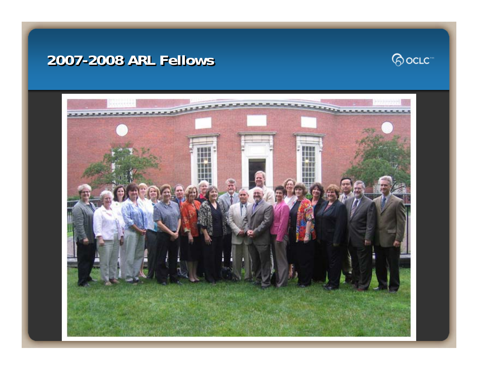#### **2007-2008 ARL Fellows -2008 ARL Fellows 2008 ARL Fellows**



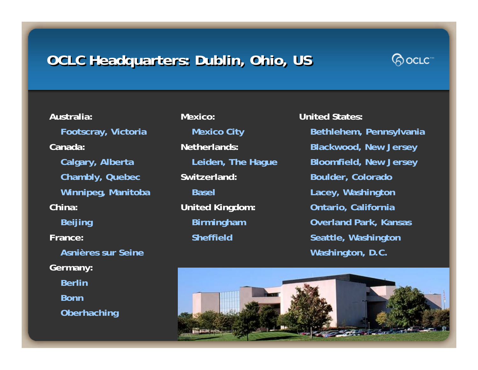# **OCLC Headquarters: Dublin, Ohio, US**



**Australia:Footscray, Victoria Canada: Calgary, Alberta Chambly, Quebec Winnipeg, Manitoba China:Beijing France:Asnières sur SeineGermany: BerlinBonnOberhaching**

**Mexico: Mexico City Netherlands:Leiden, The Hague Switzerland: BaselUnited Kingdom: Birmingham Sheffield**

**United States:Bethlehem, Pennsylvania Blackwood, New Jersey Bloomfield, New Jersey Boulder, Colorado Lacey, Washington Ontario, California Overland Park, Kansas Seattle, Washington Washington, D.C.**

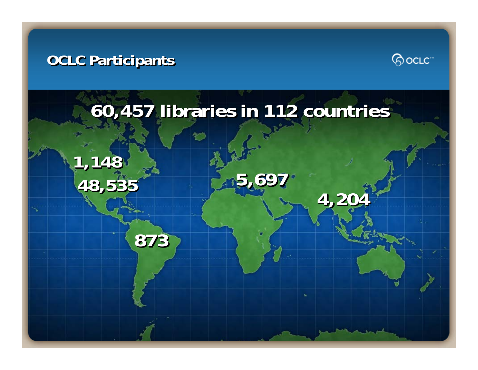#### **OCLC Participants OCLC Participants**



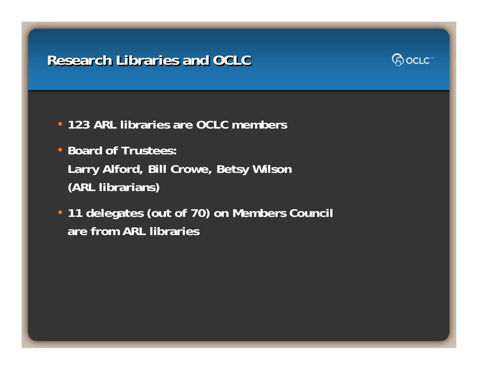## **Research Libraries and OCLC Research Libraries and OCLC**



- **123 ARL libraries are OCLC members**
- **Board of Trustees: Larry Alford, Bill Crowe, Betsy Wilson (ARL librarians)**
- **11 delegates (out of 70) on Members Council are from ARL libraries**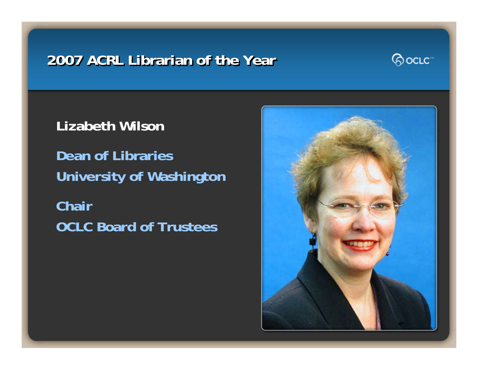### **2007 ACRL Librarian of the Year 2007 ACRL Librarian of the Year 2007 ACRL Librarian of the Year**



**Lizabeth Wilson**

**Dean of Libraries University of Washington Chair OCLC Board of Trustees**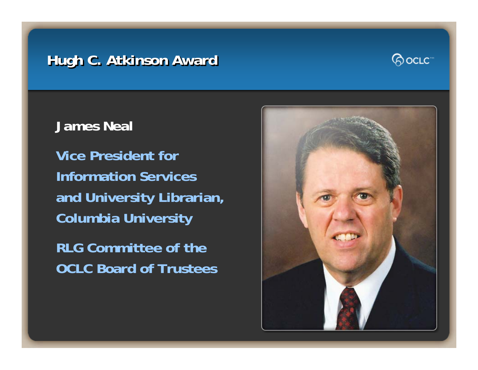# **Hugh C. Atkinson Award**



**James Neal**

**Vice President forInformation Servicesand University Librarian, Columbia University**

**RLG Committee of theOCLC Board of Trustees**

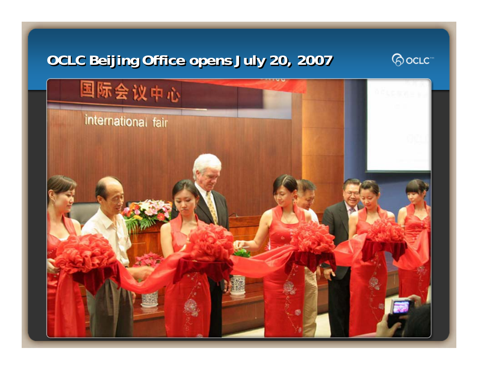# **OCLC Beijing Office opens July 20, 2007**



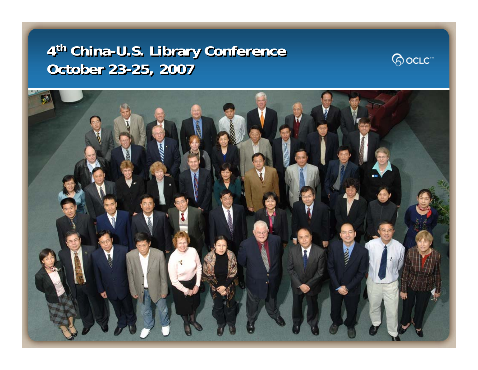# **<sup>4</sup>th China-U.S. Library Conference 4th China -U.S. Library Conference U.S. Library Conference October 23-25, 2007 October 23 October 23 -25, 2007 25, 2007**



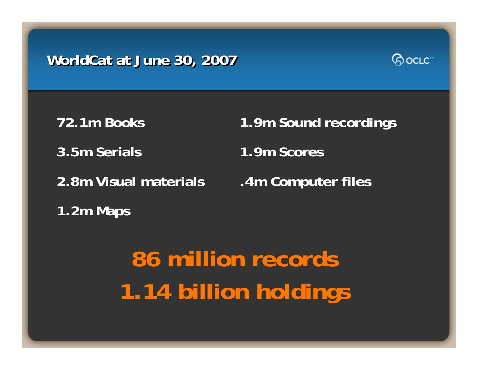# **WorldCat at June 30, 2007 WorldCat at June 30, 2007**



**72.1m Books3.5m Serials2.8m Visual materials**

**1.2m Maps**

**1.9m Sound recordings 1.9m Scores.4m Computer files**

**86 million records 1.14 billion holdings**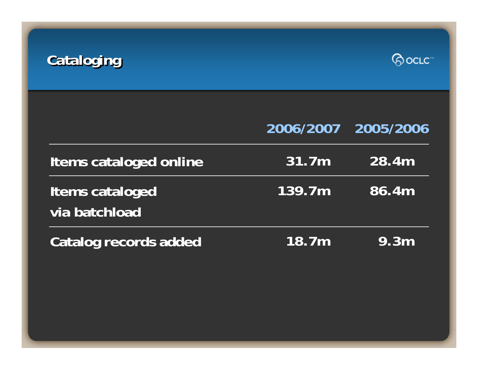



|                                  |        | 2006/2007 2005/2006 |
|----------------------------------|--------|---------------------|
| Items cataloged online           | 31.7m  | 28.4m               |
| Items cataloged<br>via batchload | 139.7m | 86.4m               |
| Catalog records added            | 18.7m  | 9.3m                |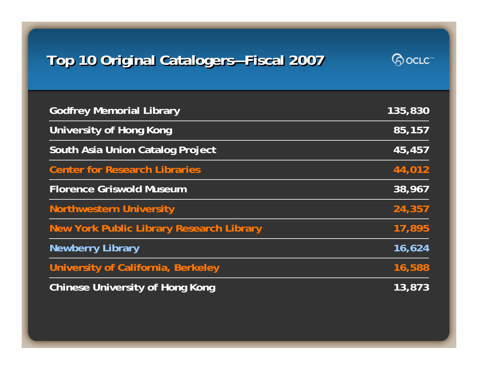# **Top 10 Original Catalogers—Fiscal 2007 Top 10 Original Catalogers—Fiscal 2007**



| <b>Godfrey Memorial Library</b>                 | 135,830 |
|-------------------------------------------------|---------|
| <b>University of Hong Kong</b>                  | 85,157  |
| South Asia Union Catalog Project                | 45,457  |
| <b>Center for Research Libraries</b>            | 44,012  |
| <b>Florence Griswold Museum</b>                 | 38,967  |
| <b>Northwestern University</b>                  | 24,357  |
| <b>New York Public Library Research Library</b> | 17,895  |
| <b>Newberry Library</b>                         | 16,624  |
| University of California, Berkeley              | 16,588  |
| <b>Chinese University of Hong Kong</b>          | 13,873  |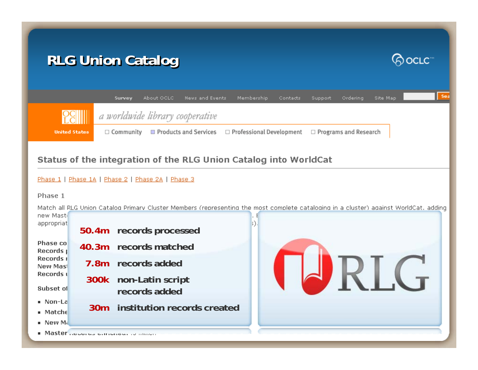# **RLG Union Catalog RLG Union Catalog RLG Union Catalog**





#### Status of the integration of the RLG Union Catalog into WorldCat

#### Phase 1 | Phase 1A | Phase 2 | Phase 2A | Phase 3

Phase 1

Match all RLG Union Catalog Primary Cluster Members (representing the most complete cataloging in a cluster) against WorldCat, adding

new Mast appropriat **records processed 50.4m**Phase co **records matched40.3m**Records I Records I **7.8mrecords added**RIG. New Mas Records ( **300k non-Latin script**  Subset of **records added**■ Non-La **30minstitution records created** $\blacksquare$  Matche ∎ New Mi ■ Master Room as children to main.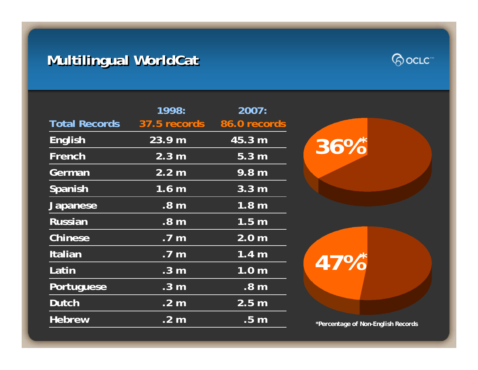# **Multilingual WorldCat Multilingual WorldCat Multilingual WorldCat**



**36%**

**47%**

**\***

**\***

*\*Percentage of Non-English Records*

|                      | 1998:                | 2007:                     |
|----------------------|----------------------|---------------------------|
| <b>Total Records</b> |                      | 37.5 records 86.0 records |
| <b>English</b>       | 23.9 m               | 45.3 m                    |
| French               | 2.3 <sub>m</sub>     | $5.\overline{3}$ m        |
| German               | 2.2 m                | 9.8 m                     |
| Spanish              | 1.6 <sub>m</sub>     | 3.3 <sub>m</sub>          |
| <b>Japanese</b>      | $\overline{.8}$ m    | 1.8 <sub>m</sub>          |
| <b>Russian</b>       | .8 <sub>m</sub>      | 1.5 <sub>m</sub>          |
| <b>Chinese</b>       | .7 <sub>m</sub>      | 2.0 <sub>m</sub>          |
| Italian              | .7 <sub>m</sub>      | 1.4 <sub>m</sub>          |
| Latin                | .3 <sub>m</sub>      | 1.0 <sub>m</sub>          |
| Portuguese           | .3 <sub>m</sub>      | .8 <sub>m</sub>           |
| <b>Dutch</b>         | .2 <sub>m</sub>      | 2.5 <sub>m</sub>          |
| <b>Hebrew</b>        | $.2 \; \overline{m}$ | $.5 \text{ m}$            |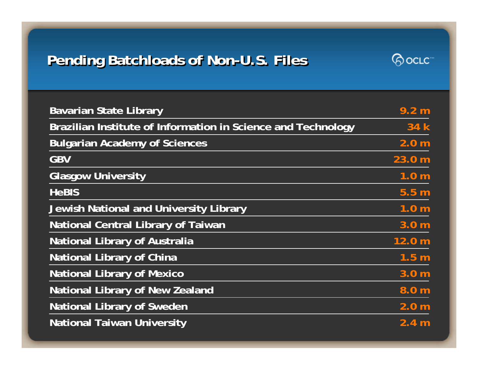# **Pending Batchloads of Non-U.S. Files**



| <b>Bavarian State Library</b>                                | 9.2 <sub>m</sub> |
|--------------------------------------------------------------|------------------|
| Brazilian Institute of Information in Science and Technology | 34 k             |
| <b>Bulgarian Academy of Sciences</b>                         | 2.0 <sub>m</sub> |
| <b>GBV</b>                                                   | 23.0 m           |
| <b>Glasgow University</b>                                    | 1.0 <sub>m</sub> |
| <b>HeBIS</b>                                                 | 5.5 <sub>m</sub> |
| Jewish National and University Library                       | 1.0 <sub>m</sub> |
| <b>National Central Library of Taiwan</b>                    | 3.0 <sub>m</sub> |
| <b>National Library of Australia</b>                         | 12.0 m           |
| <b>National Library of China</b>                             | 1.5 <sub>m</sub> |
| <b>National Library of Mexico</b>                            | 3.0 <sub>m</sub> |
| <b>National Library of New Zealand</b>                       | 8.0 <sub>m</sub> |
| <b>National Library of Sweden</b>                            | 2.0 <sub>m</sub> |
| <b>National Taiwan University</b>                            | 2.4 <sub>m</sub> |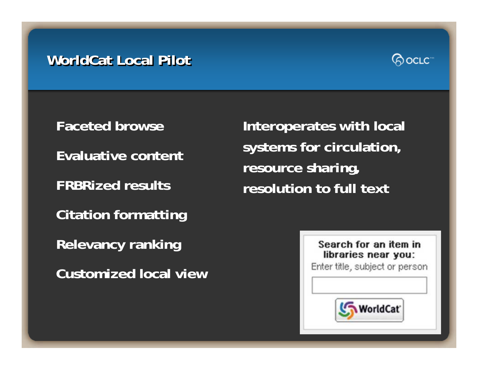#### **WorldCat Local Pilot WorldCat Local Pilot WorldCat Local Pilot**



**Faceted browseEvaluative content FRBRized resultsCitation formatting Relevancy ranking Customized local view**

**Interoperates with local systems for circulation, resource sharing, resolution to full text**

> Search for an item in libraries near you: Enter title, subject or person

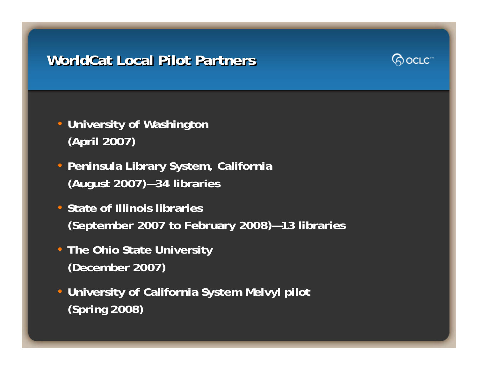## **WorldCat Local Pilot Partners WorldCat Local Pilot Partners WorldCat Local Pilot Partners**



- **University of Washington (April 2007)**
- **Peninsula Library System, California (August 2007)—34 libraries**
- **State of Illinois libraries (September 2007 to February 2008)—13 libraries**
- **The Ohio State University (December 2007)**
- **University of California System Melvyl pilot (Spring 2008)**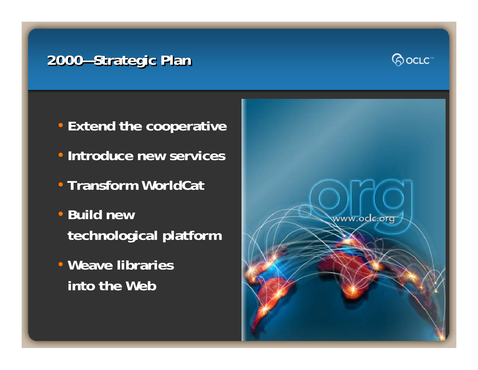# **2000 2000—Strategic Plan —Strategic Plan Strategic Plan**



- **Extend the cooperative**
- **Introduce new services**
- **Transform WorldCat**
- **Build new technological platform**
- **Weave libraries into the Web**

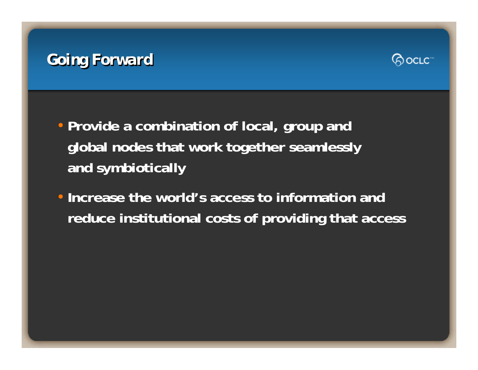# *Going Forward Going Forward Going Forward*



- **Provide a combination of local, group and global nodes that work together seamlessly and symbiotically**
- **Increase the world's access to information and reduce institutional costs of providing that access**